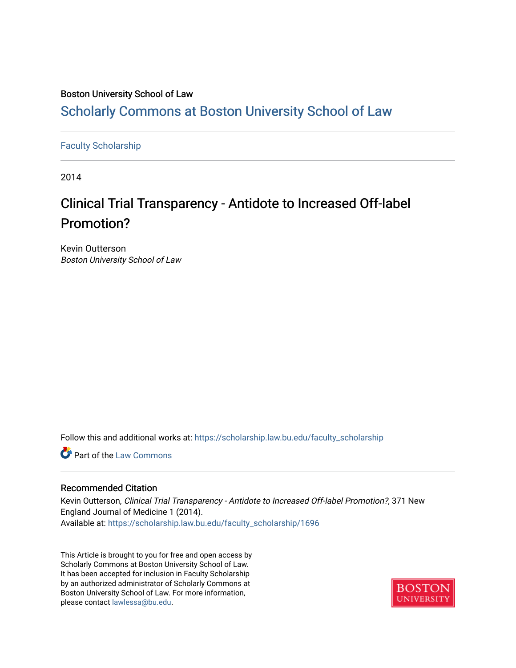#### Boston University School of Law

### [Scholarly Commons at Boston University School of Law](https://scholarship.law.bu.edu/)

#### [Faculty Scholarship](https://scholarship.law.bu.edu/faculty_scholarship)

2014

# Clinical Trial Transparency - Antidote to Increased Off-label Promotion?

Kevin Outterson Boston University School of Law

Follow this and additional works at: [https://scholarship.law.bu.edu/faculty\\_scholarship](https://scholarship.law.bu.edu/faculty_scholarship?utm_source=scholarship.law.bu.edu%2Ffaculty_scholarship%2F1696&utm_medium=PDF&utm_campaign=PDFCoverPages)

**Part of the [Law Commons](http://network.bepress.com/hgg/discipline/578?utm_source=scholarship.law.bu.edu%2Ffaculty_scholarship%2F1696&utm_medium=PDF&utm_campaign=PDFCoverPages)** 

#### Recommended Citation

Kevin Outterson, Clinical Trial Transparency - Antidote to Increased Off-label Promotion?, 371 New England Journal of Medicine 1 (2014). Available at: [https://scholarship.law.bu.edu/faculty\\_scholarship/1696](https://scholarship.law.bu.edu/faculty_scholarship/1696?utm_source=scholarship.law.bu.edu%2Ffaculty_scholarship%2F1696&utm_medium=PDF&utm_campaign=PDFCoverPages)

This Article is brought to you for free and open access by Scholarly Commons at Boston University School of Law. It has been accepted for inclusion in Faculty Scholarship by an authorized administrator of Scholarly Commons at Boston University School of Law. For more information, please contact [lawlessa@bu.edu](mailto:lawlessa@bu.edu).

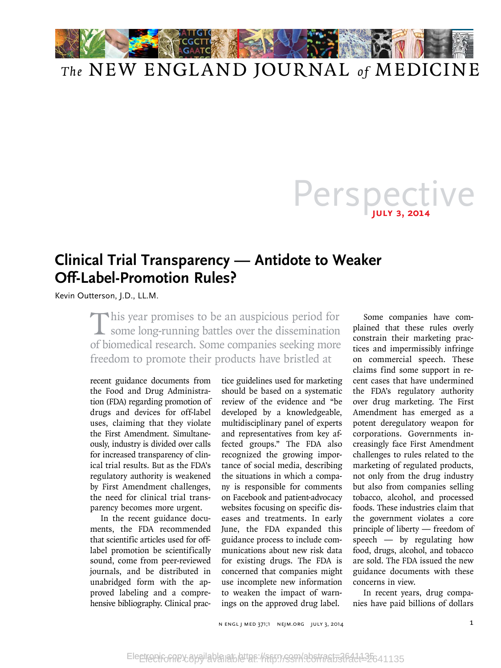

# *The* NEW ENGLAND JOURNAL *of* MEDICINE

# Perspective

# **Clinical Trial Transparency — Antidote to Weaker Off-Label-Promotion Rules?**

Kevin Outterson, J.D., LL.M.

This year promises to be an auspicious period for some long-running battles over the dissemination of biomedical research. Some companies seeking more freedom to promote their products have bristled at

recent guidance documents from the Food and Drug Administration (FDA) regarding promotion of drugs and devices for off-label uses, claiming that they violate the First Amendment. Simultaneously, industry is divided over calls for increased transparency of clinical trial results. But as the FDA's regulatory authority is weakened by First Amendment challenges, the need for clinical trial transparency becomes more urgent.

In the recent guidance documents, the FDA recommended that scientific articles used for offlabel promotion be scientifically sound, come from peer-reviewed journals, and be distributed in unabridged form with the approved labeling and a comprehensive bibliography. Clinical prac-

tice guidelines used for marketing should be based on a systematic review of the evidence and "be developed by a knowledgeable, multidisciplinary panel of experts and representatives from key affected groups." The FDA also recognized the growing importance of social media, describing the situations in which a company is responsible for comments on Facebook and patient-advocacy websites focusing on specific diseases and treatments. In early June, the FDA expanded this guidance process to include communications about new risk data for existing drugs. The FDA is concerned that companies might use incomplete new information to weaken the impact of warnings on the approved drug label.

Some companies have complained that these rules overly constrain their marketing practices and impermissibly infringe on commercial speech. These claims find some support in recent cases that have undermined the FDA's regulatory authority over drug marketing. The First Amendment has emerged as a potent deregulatory weapon for corporations. Governments increasingly face First Amendment challenges to rules related to the marketing of regulated products, not only from the drug industry but also from companies selling tobacco, alcohol, and processed foods. These industries claim that the government violates a core principle of liberty — freedom of speech — by regulating how food, drugs, alcohol, and tobacco are sold. The FDA issued the new guidance documents with these concerns in view.

In recent years, drug companies have paid billions of dollars

 $N$  ENGL J MED 371;1 NEJM.ORG JULY 3, 2014 1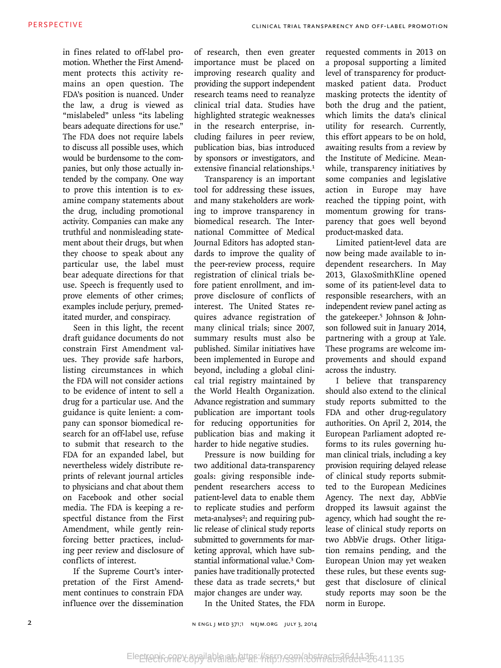in fines related to off-label promotion. Whether the First Amendment protects this activity remains an open question. The FDA's position is nuanced. Under the law, a drug is viewed as "mislabeled" unless "its labeling bears adequate directions for use." The FDA does not require labels to discuss all possible uses, which would be burdensome to the companies, but only those actually intended by the company. One way to prove this intention is to examine company statements about the drug, including promotional activity. Companies can make any truthful and nonmisleading statement about their drugs, but when they choose to speak about any particular use, the label must bear adequate directions for that use. Speech is frequently used to prove elements of other crimes; examples include perjury, premeditated murder, and conspiracy.

Seen in this light, the recent draft guidance documents do not constrain First Amendment values. They provide safe harbors, listing circumstances in which the FDA will not consider actions to be evidence of intent to sell a drug for a particular use. And the guidance is quite lenient: a company can sponsor biomedical research for an off-label use, refuse to submit that research to the FDA for an expanded label, but nevertheless widely distribute reprints of relevant journal articles to physicians and chat about them on Facebook and other social media. The FDA is keeping a respectful distance from the First Amendment, while gently reinforcing better practices, including peer review and disclosure of conflicts of interest.

If the Supreme Court's interpretation of the First Amendment continues to constrain FDA influence over the dissemination

of research, then even greater importance must be placed on improving research quality and providing the support independent research teams need to reanalyze clinical trial data. Studies have highlighted strategic weaknesses in the research enterprise, including failures in peer review, publication bias, bias introduced by sponsors or investigators, and extensive financial relationships.<sup>1</sup>

Transparency is an important tool for addressing these issues, and many stakeholders are working to improve transparency in biomedical research. The International Committee of Medical Journal Editors has adopted standards to improve the quality of the peer-review process, require registration of clinical trials before patient enrollment, and improve disclosure of conflicts of interest. The United States requires advance registration of many clinical trials; since 2007, summary results must also be published. Similar initiatives have been implemented in Europe and beyond, including a global clinical trial registry maintained by the World Health Organization. Advance registration and summary publication are important tools for reducing opportunities for publication bias and making it harder to hide negative studies.

Pressure is now building for two additional data-transparency goals: giving responsible independent researchers access to patient-level data to enable them to replicate studies and perform meta-analyses<sup>2</sup>; and requiring public release of clinical study reports submitted to governments for marketing approval, which have substantial informational value.<sup>3</sup> Companies have traditionally protected these data as trade secrets,<sup>4</sup> but major changes are under way.

In the United States, the FDA

requested comments in 2013 on a proposal supporting a limited level of transparency for productmasked patient data. Product masking protects the identity of both the drug and the patient, which limits the data's clinical utility for research. Currently, this effort appears to be on hold, awaiting results from a review by the Institute of Medicine. Meanwhile, transparency initiatives by some companies and legislative action in Europe may have reached the tipping point, with momentum growing for transparency that goes well beyond product-masked data.

Limited patient-level data are now being made available to independent researchers. In May 2013, GlaxoSmithKline opened some of its patient-level data to responsible researchers, with an independent review panel acting as the gatekeeper.5 Johnson & Johnson followed suit in January 2014, partnering with a group at Yale. These programs are welcome improvements and should expand across the industry.

I believe that transparency should also extend to the clinical study reports submitted to the FDA and other drug-regulatory authorities. On April 2, 2014, the European Parliament adopted reforms to its rules governing human clinical trials, including a key provision requiring delayed release of clinical study reports submitted to the European Medicines Agency. The next day, AbbVie dropped its lawsuit against the agency, which had sought the release of clinical study reports on two AbbVie drugs. Other litigation remains pending, and the European Union may yet weaken these rules, but these events suggest that disclosure of clinical study reports may soon be the norm in Europe.